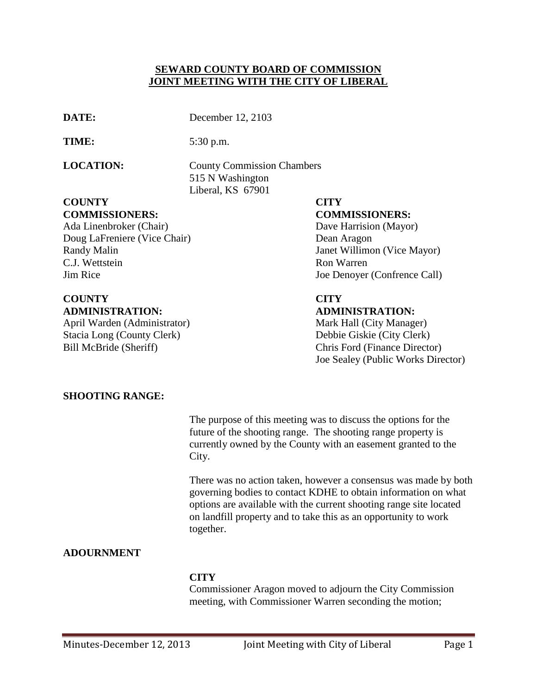### **SEWARD COUNTY BOARD OF COMMISSION JOINT MEETING WITH THE CITY OF LIBERAL**

| ۰ |
|---|
|   |

December 12, 2103

**TIME:** 5:30 p.m.

**LOCATION:** County Commission Chambers 515 N Washington Liberal, KS 67901

### **COUNTY CITY COMMISSIONERS: COMMISSIONERS:**

Ada Linenbroker (Chair) Dave Harrision (Mayor) Doug LaFreniere (Vice Chair) Dean Aragon Randy Malin Janet Willimon (Vice Mayor) C.J. Wettstein Ron Warren Jim Rice Joe Denoyer (Confrence Call)

# **COUNTY CITY ADMINISTRATION: ADMINISTRATION:**

April Warden (Administrator) Mark Hall (City Manager) Stacia Long (County Clerk) Debbie Giskie (City Clerk) Bill McBride (Sheriff) Chris Ford (Finance Director)

Joe Sealey (Public Works Director)

# **SHOOTING RANGE:**

The purpose of this meeting was to discuss the options for the future of the shooting range. The shooting range property is currently owned by the County with an easement granted to the City.

There was no action taken, however a consensus was made by both governing bodies to contact KDHE to obtain information on what options are available with the current shooting range site located on landfill property and to take this as an opportunity to work together.

# **ADOURNMENT**

# **CITY**

Commissioner Aragon moved to adjourn the City Commission meeting, with Commissioner Warren seconding the motion;